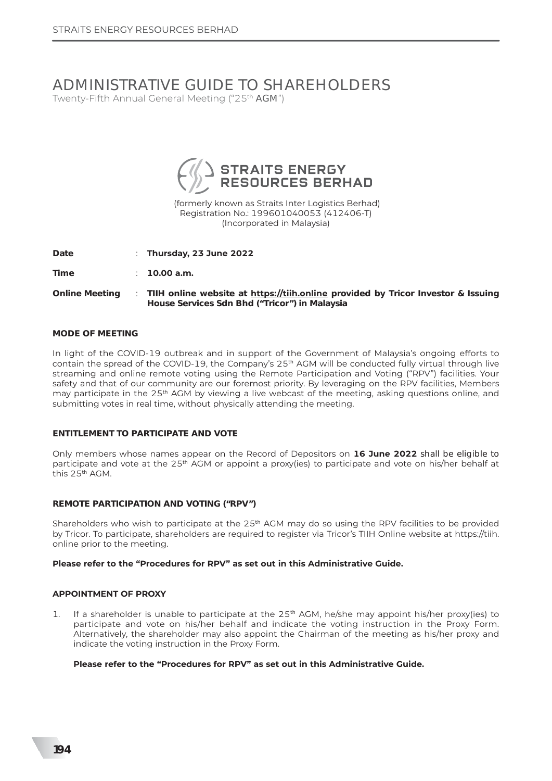# ADMINISTRATIVE GUIDE TO SHAREHOLDERS Twenty-Fifth Annual General Meeting ("25th AGM")



(formerly known as Straits Inter Logistics Berhad) Registration No.: 199601040053 (412406-T) (Incorporated in Malaysia)

Date : Thursday, 23 June 2022

Time  $10.00$  a.m.

TIIH online website at https://tiih.online provided by Tricor Investor & Issuing **Online Meeting**  $\sim$ House Services Sdn Bhd ("Tricor") in Malaysia

#### **MODE OF MEETING**

In light of the COVID-19 outbreak and in support of the Government of Malaysia's ongoing efforts to contain the spread of the COVID-19, the Company's 25<sup>th</sup> AGM will be conducted fully virtual through live streaming and online remote voting using the Remote Participation and Voting ("RPV") facilities. Your safety and that of our community are our foremost priority. By leveraging on the RPV facilities, Members may participate in the 25<sup>th</sup> AGM by viewing a live webcast of the meeting, asking questions online, and submitting votes in real time, without physically attending the meeting.

#### **FNTITI FMFNT TO PARTICIPATE AND VOTE**

Only members whose names appear on the Record of Depositors on 16 June 2022 shall be eligible to participate and vote at the 25<sup>th</sup> AGM or appoint a proxy(ies) to participate and vote on his/her behalf at this 25<sup>th</sup> AGM.

#### **REMOTE PARTICIPATION AND VOTING ("RPV")**

Shareholders who wish to participate at the 25<sup>th</sup> AGM may do so using the RPV facilities to be provided by Tricor. To participate, shareholders are required to register via Tricor's TIIH Online website at https://tiih. online prior to the meeting.

#### Please refer to the "Procedures for RPV" as set out in this Administrative Guide.

#### **APPOINTMENT OF PROXY**

If a shareholder is unable to participate at the 25<sup>th</sup> AGM, he/she may appoint his/her proxy(ies) to 1. participate and vote on his/her behalf and indicate the voting instruction in the Proxy Form. Alternatively, the shareholder may also appoint the Chairman of the meeting as his/her proxy and indicate the voting instruction in the Proxy Form.

#### Please refer to the "Procedures for RPV" as set out in this Administrative Guide.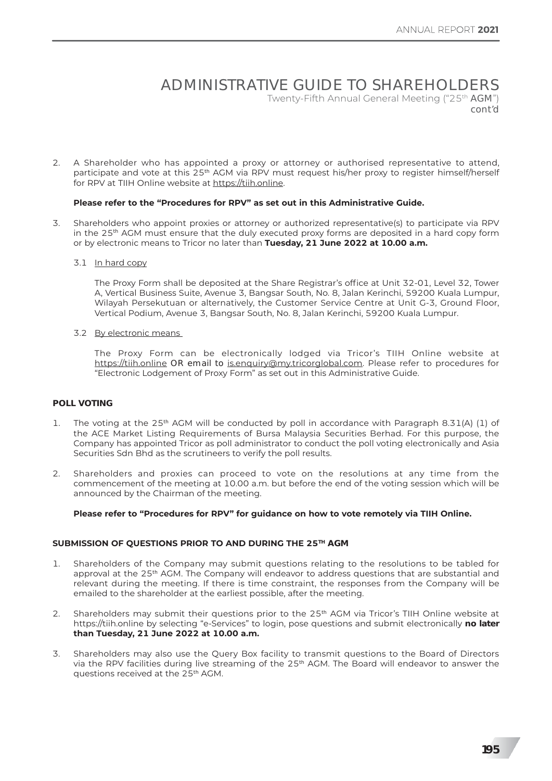## ADMINISTRATIVE GUIDE TO SHAREHOLDERS Twenty-Fifth Annual General Meeting ("25<sup>th</sup> AGM") *cont'd*

2. A Shareholder who has appointed a proxy or attorney or authorised representative to attend, participate and vote at this 25<sup>th</sup> AGM via RPV must request his/her proxy to register himself/herself for RPV at TIIH Online website at https://tiih.online.

#### **Please refer to the "Procedures for RPV" as set out in this Administrative Guide.**

- 3. Shareholders who appoint proxies or attorney or authorized representative(s) to participate via RPV in the 25<sup>th</sup> AGM must ensure that the duly executed proxy forms are deposited in a hard copy form or by electronic means to Tricor no later than Tuesday, 21 June 2022 at 10.00 a.m.
	- 3.1 In hard copy

The Proxy Form shall be deposited at the Share Registrar's office at Unit 32-01. Level 32. Tower A, Vertical Business Suite, Avenue 3, Bangsar South, No. 8, Jalan Kerinchi, 59200 Kuala Lumpur, Wilayah Persekutuan or alternatively, the Customer Service Centre at Unit G-3, Ground Floor, Vertical Podium, Avenue 3, Bangsar South, No. 8, Jalan Kerinchi, 59200 Kuala Lumpur.

3.2 By electronic means

The Proxy Form can be electronically lodged via Tricor's TIIH Online website at https://tiih.online OR email to is.enguiry@my.tricorglobal.com. Please refer to procedures for "Electronic Lodgement of Proxy Form" as set out in this Administrative Guide.

#### **POLL VOTING**

- 1. The voting at the 25<sup>th</sup> AGM will be conducted by poll in accordance with Paragraph 8.31(A) (1) of the ACE Market Listing Requirements of Bursa Malaysia Securities Berhad. For this purpose, the Company has appointed Tricor as poll administrator to conduct the poll voting electronically and Asia Securities Sdn Bhd as the scrutineers to verify the poll results.
- 2. Shareholders and proxies can proceed to vote on the resolutions at any time from the commencement of the meeting at 10.00 a.m. but before the end of the voting session which will be announced by the Chairman of the meeting.

#### Please refer to "Procedures for RPV" for guidance on how to vote remotely via TIIH Online.

#### SUBMISSION OF QUESTIONS PRIOR TO AND DURING THE 25<sup>TH</sup> AGM

- 1. Shareholders of the Company may submit questions relating to the resolutions to be tabled for approval at the 25<sup>th</sup> AGM. The Company will endeavor to address questions that are substantial and relevant during the meeting. If there is time constraint, the responses from the Company will be emailed to the shareholder at the earliest possible, after the meeting.
- 2. Shareholders may submit their questions prior to the 25<sup>th</sup> AGM via Tricor's TIIH Online website at https://tiih.online by selecting "e-Services" to login, pose questions and submit electronically no later than Tuesday, 21 June 2022 at 10.00 a.m.
- 3. Shareholders may also use the Ouery Box facility to transmit questions to the Board of Directors via the RPV facilities during live streaming of the 25<sup>th</sup> AGM. The Board will endeavor to answer the guestions received at the 25<sup>th</sup> AGM.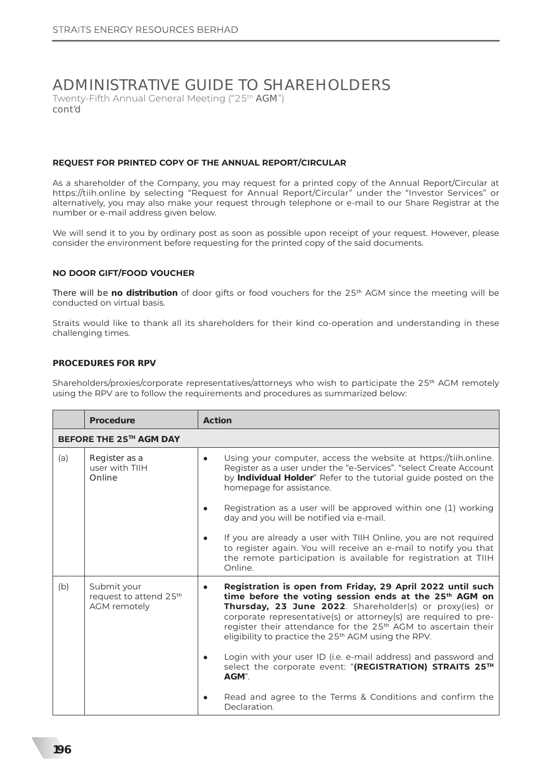# ADMINISTRATIVE GUIDE TO SHAREHOLDERS Twenty-Fifth Annual General Meeting ("25<sup>th</sup> AGM")

*cont'd*

#### **REOUEST FOR PRINTED COPY OF THE ANNUAL REPORT/CIRCULAR**

As a shareholder of the Company, you may request for a printed copy of the Annual Report/Circular at https://tiih.online by selecting "Request for Annual Report/Circular" under the "Investor Services" or alternatively, you may also make your request through telephone or e-mail to our Share Registrar at the number or e-mail address given below.

We will send it to you by ordinary post as soon as possible upon receipt of your request. However, please consider the environment before requesting for the printed copy of the said documents.

#### **NO DOOR GIFT/FOOD VOUCHER**

There will be **no distribution** of door gifts or food vouchers for the 25<sup>th</sup> AGM since the meeting will be conducted on virtual basis.

Straits would like to thank all its shareholders for their kind co-operation and understanding in these challenging times.

#### **PROCEDURES FOR RPV**

Shareholders/proxies/corporate representatives/attorneys who wish to participate the 25<sup>th</sup> AGM remotely using the RPV are to follow the requirements and procedures as summarized below:

|     | Procedure                                                         | Action                                                                                                                                                                                                                                                                                                                                                                                                         |  |  |  |  |
|-----|-------------------------------------------------------------------|----------------------------------------------------------------------------------------------------------------------------------------------------------------------------------------------------------------------------------------------------------------------------------------------------------------------------------------------------------------------------------------------------------------|--|--|--|--|
|     | BEFORE THE 25 <sup>TH</sup> AGM DAY                               |                                                                                                                                                                                                                                                                                                                                                                                                                |  |  |  |  |
| (a) | Register as a<br>user with TIIH<br>Online                         | Using your computer, access the website at https://tiih.online.<br>$\bullet$<br>Register as a user under the "e-Services". "select Create Account<br>by Individual Holder" Refer to the tutorial guide posted on the<br>homepage for assistance.                                                                                                                                                               |  |  |  |  |
|     |                                                                   | Registration as a user will be approved within one (1) working<br>day and you will be notified via e-mail.                                                                                                                                                                                                                                                                                                     |  |  |  |  |
|     |                                                                   | If you are already a user with TIIH Online, you are not required<br>to register again. You will receive an e-mail to notify you that<br>the remote participation is available for registration at TIIH<br>Online.                                                                                                                                                                                              |  |  |  |  |
| (b) | Submit your<br>request to attend 25 <sup>th</sup><br>AGM remotely | Registration is open from Friday, 29 April 2022 until such<br>time before the voting session ends at the 25 <sup>th</sup> AGM on<br>Thursday, 23 June 2022. Shareholder(s) or proxy(ies) or<br>corporate representative(s) or attorney(s) are required to pre-<br>register their attendance for the 25 <sup>th</sup> AGM to ascertain their<br>eligibility to practice the 25 <sup>th</sup> AGM using the RPV. |  |  |  |  |
|     |                                                                   | Login with your user ID (i.e. e-mail address) and password and<br>$\bullet$<br>select the corporate event: "(REGISTRATION) STRAITS 25TH<br>AGM".                                                                                                                                                                                                                                                               |  |  |  |  |
|     |                                                                   | Read and agree to the Terms & Conditions and confirm the<br>Declaration.                                                                                                                                                                                                                                                                                                                                       |  |  |  |  |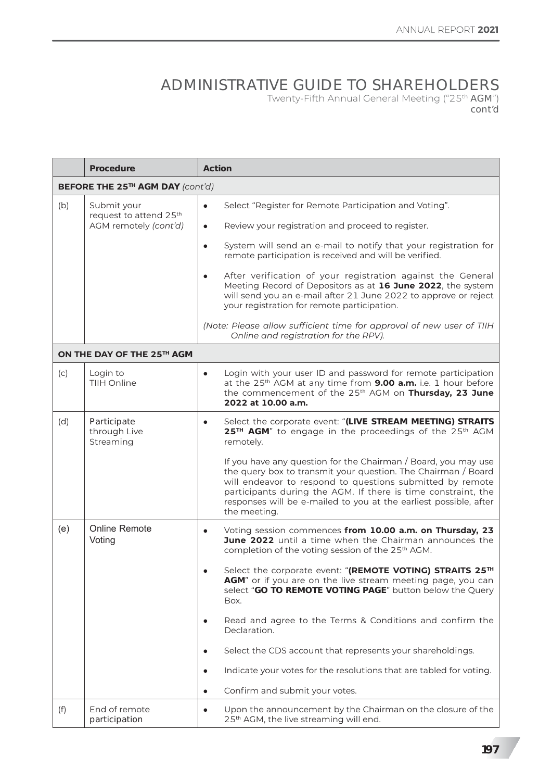## ADMINISTRATIVE GUIDE TO SHAREHOLDERS Twenty-Fifth Annual General Meeting ("25th AGM") *cont'd*

|                                  | <b>Procedure</b>                                                           | <b>Action</b>                                                                                                                                                                                                                                                                                                                                      |  |  |
|----------------------------------|----------------------------------------------------------------------------|----------------------------------------------------------------------------------------------------------------------------------------------------------------------------------------------------------------------------------------------------------------------------------------------------------------------------------------------------|--|--|
| BEFORE THE 25TH AGM DAY (cont'd) |                                                                            |                                                                                                                                                                                                                                                                                                                                                    |  |  |
| (b)                              | Submit your<br>request to attend 25 <sup>th</sup><br>AGM remotely (cont'd) | Select "Register for Remote Participation and Voting".<br>$\bullet$<br>Review your registration and proceed to register.<br>$\bullet$                                                                                                                                                                                                              |  |  |
|                                  |                                                                            | System will send an e-mail to notify that your registration for<br>$\bullet$<br>remote participation is received and will be verified.                                                                                                                                                                                                             |  |  |
|                                  |                                                                            | After verification of your registration against the General<br>$\bullet$<br>Meeting Record of Depositors as at 16 June 2022, the system<br>will send you an e-mail after 21 June 2022 to approve or reject<br>your registration for remote participation.                                                                                          |  |  |
|                                  |                                                                            | (Note: Please allow sufficient time for approval of new user of TIIH<br>Online and registration for the RPV).                                                                                                                                                                                                                                      |  |  |
|                                  | ON THE DAY OF THE 25TH AGM                                                 |                                                                                                                                                                                                                                                                                                                                                    |  |  |
| (c)                              | Login to<br>TIIH Online                                                    | Login with your user ID and password for remote participation<br>$\bullet$<br>at the 25 <sup>th</sup> AGM at any time from <b>9.00 a.m.</b> i.e. 1 hour before<br>the commencement of the 25 <sup>th</sup> AGM on Thursday, 23 June<br>2022 at 10.00 a.m.                                                                                          |  |  |
| (d)                              | Participate<br>through Live<br>Streaming                                   | Select the corporate event: "(LIVE STREAM MEETING) STRAITS<br>$\bullet$<br>25TH AGM" to engage in the proceedings of the 25th AGM<br>remotely.                                                                                                                                                                                                     |  |  |
|                                  |                                                                            | If you have any question for the Chairman / Board, you may use<br>the query box to transmit your question. The Chairman / Board<br>will endeavor to respond to questions submitted by remote<br>participants during the AGM. If there is time constraint, the<br>responses will be e-mailed to you at the earliest possible, after<br>the meeting. |  |  |
| (e)                              | <b>Online Remote</b><br>Voting                                             | Voting session commences from 10.00 a.m. on Thursday, 23<br>$\bullet$<br>June 2022 until a time when the Chairman announces the<br>completion of the voting session of the 25 <sup>th</sup> AGM.                                                                                                                                                   |  |  |
|                                  |                                                                            | Select the corporate event: "(REMOTE VOTING) STRAITS 25TH<br>AGM" or if you are on the live stream meeting page, you can<br>select "GO TO REMOTE VOTING PAGE" button below the Query<br>Box.                                                                                                                                                       |  |  |
|                                  |                                                                            | Read and agree to the Terms & Conditions and confirm the<br>Declaration.                                                                                                                                                                                                                                                                           |  |  |
|                                  |                                                                            | Select the CDS account that represents your shareholdings.<br>$\bullet$                                                                                                                                                                                                                                                                            |  |  |
|                                  |                                                                            | Indicate your votes for the resolutions that are tabled for voting.<br>$\bullet$                                                                                                                                                                                                                                                                   |  |  |
|                                  |                                                                            | Confirm and submit your votes.<br>$\bullet$                                                                                                                                                                                                                                                                                                        |  |  |
| (f)                              | End of remote<br>participation                                             | Upon the announcement by the Chairman on the closure of the<br>$\bullet$<br>25 <sup>th</sup> AGM, the live streaming will end.                                                                                                                                                                                                                     |  |  |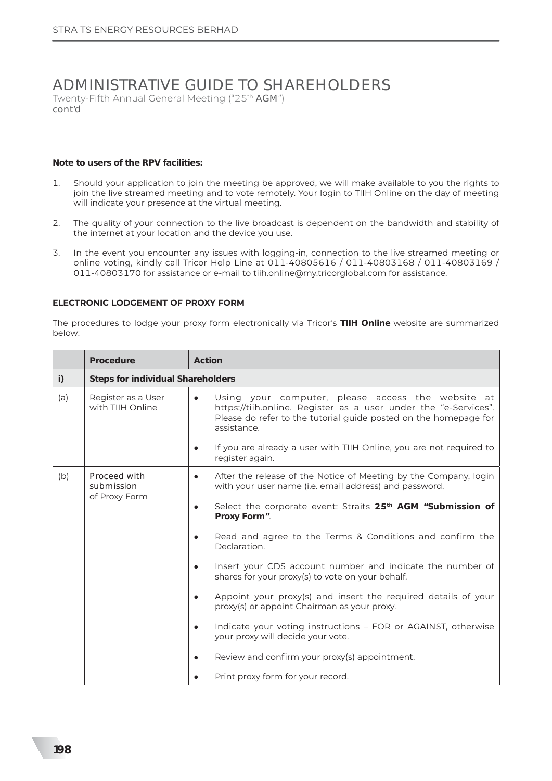# ADMINISTRATIVE GUIDE TO SHAREHOLDERS

Twenty-Fifth Annual General Meeting ("25th AGM") cont'd

#### Note to users of the RPV facilities:

- Should your application to join the meeting be approved, we will make available to you the rights to  $\mathbf{1}$ . join the live streamed meeting and to vote remotely. Your login to TIIH Online on the day of meeting will indicate your presence at the virtual meeting.
- The quality of your connection to the live broadcast is dependent on the bandwidth and stability of  $2.$ the internet at your location and the device you use.
- In the event you encounter any issues with logging-in, connection to the live streamed meeting or  $\overline{3}$ . online voting, kindly call Tricor Help Line at 011-40805616 / 011-40803168 / 011-40803169 / 011-40803170 for assistance or e-mail to tiih.online@my.tricorglobal.com for assistance.

#### ELECTRONIC LODGEMENT OF PROXY FORM

The procedures to lodge your proxy form electronically via Tricor's TIIH Online website are summarized below:

|     | Procedure                                   | Action                                                                                                                                                                                                               |  |  |  |
|-----|---------------------------------------------|----------------------------------------------------------------------------------------------------------------------------------------------------------------------------------------------------------------------|--|--|--|
| i)  | <b>Steps for individual Shareholders</b>    |                                                                                                                                                                                                                      |  |  |  |
| (a) | Register as a User<br>with TIIH Online      | Using your computer, please access the website at<br>$\bullet$<br>https://tiih.online. Register as a user under the "e-Services".<br>Please do refer to the tutorial guide posted on the homepage for<br>assistance. |  |  |  |
|     |                                             | If you are already a user with TIIH Online, you are not required to<br>register again.                                                                                                                               |  |  |  |
| (b) | Proceed with<br>submission<br>of Proxy Form | After the release of the Notice of Meeting by the Company, login<br>$\bullet$<br>with your user name (i.e. email address) and password.                                                                              |  |  |  |
|     |                                             | Select the corporate event: Straits 25 <sup>th</sup> AGM "Submission of<br>$\bullet$<br>Proxy Form".                                                                                                                 |  |  |  |
|     |                                             | Read and agree to the Terms & Conditions and confirm the<br>Declaration.                                                                                                                                             |  |  |  |
|     |                                             | Insert your CDS account number and indicate the number of<br>shares for your proxy(s) to vote on your behalf.                                                                                                        |  |  |  |
|     |                                             | Appoint your proxy(s) and insert the required details of your<br>$\bullet$<br>proxy(s) or appoint Chairman as your proxy.                                                                                            |  |  |  |
|     |                                             | Indicate your voting instructions - FOR or AGAINST, otherwise<br>$\bullet$<br>your proxy will decide your vote.                                                                                                      |  |  |  |
|     |                                             | Review and confirm your proxy(s) appointment.<br>$\bullet$                                                                                                                                                           |  |  |  |
|     |                                             | Print proxy form for your record.                                                                                                                                                                                    |  |  |  |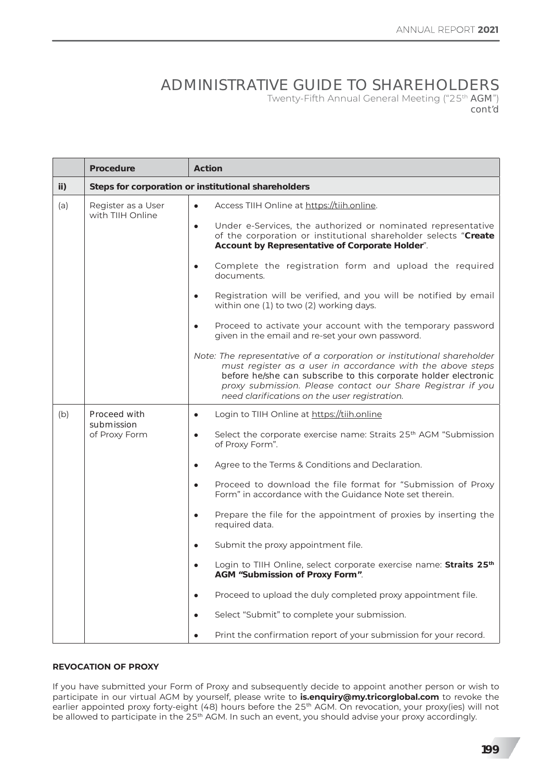## ADMINISTRATIVE GUIDE TO SHAREHOLDERS Twenty-Fifth Annual General Meeting ("25<sup>th</sup> AGM") cont'd

|     | Procedure                                           | <b>Action</b>                                                                                                                                                                                                                                                                                                           |  |  |  |
|-----|-----------------------------------------------------|-------------------------------------------------------------------------------------------------------------------------------------------------------------------------------------------------------------------------------------------------------------------------------------------------------------------------|--|--|--|
| ii) | Steps for corporation or institutional shareholders |                                                                                                                                                                                                                                                                                                                         |  |  |  |
| (a) | Register as a User<br>with TIIH Online              | Access TIIH Online at https://tiih.online.<br>$\bullet$<br>Under e-Services, the authorized or nominated representative<br>$\bullet$                                                                                                                                                                                    |  |  |  |
|     |                                                     | of the corporation or institutional shareholder selects "Create<br>Account by Representative of Corporate Holder".                                                                                                                                                                                                      |  |  |  |
|     |                                                     | Complete the registration form and upload the required<br>$\bullet$<br>documents.                                                                                                                                                                                                                                       |  |  |  |
|     |                                                     | Registration will be verified, and you will be notified by email<br>$\bullet$<br>within one (1) to two (2) working days.                                                                                                                                                                                                |  |  |  |
|     |                                                     | Proceed to activate your account with the temporary password<br>given in the email and re-set your own password.                                                                                                                                                                                                        |  |  |  |
|     |                                                     | Note: The representative of a corporation or institutional shareholder<br>must register as a user in accordance with the above steps<br>before he/she can subscribe to this corporate holder electronic<br>proxy submission. Please contact our Share Registrar if you<br>need clarifications on the user registration. |  |  |  |
| (b) | Proceed with<br>submission<br>of Proxy Form         | Login to TIIH Online at https://tiih.online<br>$\bullet$                                                                                                                                                                                                                                                                |  |  |  |
|     |                                                     | Select the corporate exercise name: Straits 25 <sup>th</sup> AGM "Submission<br>$\bullet$<br>of Proxy Form".                                                                                                                                                                                                            |  |  |  |
|     |                                                     | Agree to the Terms & Conditions and Declaration.<br>$\bullet$                                                                                                                                                                                                                                                           |  |  |  |
|     |                                                     | Proceed to download the file format for "Submission of Proxy<br>$\bullet$<br>Form" in accordance with the Guidance Note set therein.                                                                                                                                                                                    |  |  |  |
|     |                                                     | Prepare the file for the appointment of proxies by inserting the<br>$\bullet$<br>required data.                                                                                                                                                                                                                         |  |  |  |
|     |                                                     | Submit the proxy appointment file.<br>$\bullet$                                                                                                                                                                                                                                                                         |  |  |  |
|     |                                                     | Login to TIIH Online, select corporate exercise name: Straits 25 <sup>th</sup><br>$\bullet$<br>AGM "Submission of Proxy Form".                                                                                                                                                                                          |  |  |  |
|     |                                                     | Proceed to upload the duly completed proxy appointment file.<br>$\bullet$                                                                                                                                                                                                                                               |  |  |  |
|     |                                                     | Select "Submit" to complete your submission.                                                                                                                                                                                                                                                                            |  |  |  |
|     |                                                     | Print the confirmation report of your submission for your record.                                                                                                                                                                                                                                                       |  |  |  |

### **REVOCATION OF PROXY**

If you have submitted your Form of Proxy and subsequently decide to appoint another person or wish to participate in our virtual AGM by yourself, please write to **is.enquiry@my.tricorglobal.com** to revoke the earlier appointed proxy forty-eight (48) hours before the 25<sup>th</sup> AGM. On revocation, your proxy(ies) will not be allowed to participate in the 25<sup>th</sup> AGM. In such an event, you should advise your proxy accordingly.